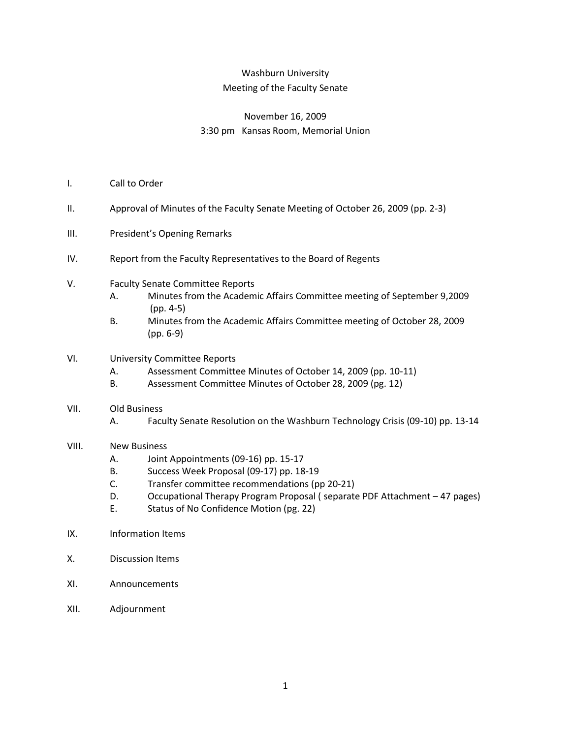## Washburn University Meeting of the Faculty Senate

## November 16, 2009 3:30 pm Kansas Room, Memorial Union

- I. Call to Order
- II. Approval of Minutes of the Faculty Senate Meeting of October 26, 2009 (pp. 2-3)
- III. President's Opening Remarks
- IV. Report from the Faculty Representatives to the Board of Regents
- V. Faculty Senate Committee Reports
	- A. Minutes from the Academic Affairs Committee meeting of September 9,2009 (pp. 4-5)
	- B. Minutes from the Academic Affairs Committee meeting of October 28, 2009 (pp. 6-9)
- VI. University Committee Reports
	- A. Assessment Committee Minutes of October 14, 2009 (pp. 10-11)
	- B. Assessment Committee Minutes of October 28, 2009 (pg. 12)
- VII. Old Business
	- A. Faculty Senate Resolution on the Washburn Technology Crisis (09-10) pp. 13-14
- VIII. New Business
	- A. Joint Appointments (09-16) pp. 15-17
	- B. Success Week Proposal (09-17) pp. 18-19
	- C. Transfer committee recommendations (pp 20-21)
	- D. Occupational Therapy Program Proposal ( separate PDF Attachment 47 pages)
	- E. Status of No Confidence Motion (pg. 22)
- IX. Information Items
- X. Discussion Items
- XI. Announcements
- XII. Adjournment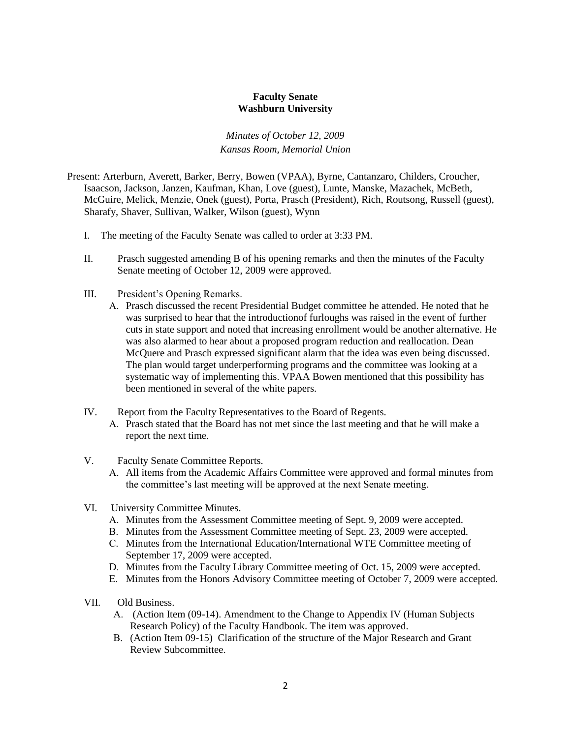#### **Faculty Senate Washburn University**

*Minutes of October 12, 2009 Kansas Room, Memorial Union*

- Present: Arterburn, Averett, Barker, Berry, Bowen (VPAA), Byrne, Cantanzaro, Childers, Croucher, Isaacson, Jackson, Janzen, Kaufman, Khan, Love (guest), Lunte, Manske, Mazachek, McBeth, McGuire, Melick, Menzie, Onek (guest), Porta, Prasch (President), Rich, Routsong, Russell (guest), Sharafy, Shaver, Sullivan, Walker, Wilson (guest), Wynn
	- I. The meeting of the Faculty Senate was called to order at 3:33 PM.
	- II. Prasch suggested amending B of his opening remarks and then the minutes of the Faculty Senate meeting of October 12, 2009 were approved.
	- III. President's Opening Remarks.
		- A. Prasch discussed the recent Presidential Budget committee he attended. He noted that he was surprised to hear that the introductionof furloughs was raised in the event of further cuts in state support and noted that increasing enrollment would be another alternative. He was also alarmed to hear about a proposed program reduction and reallocation. Dean McQuere and Prasch expressed significant alarm that the idea was even being discussed. The plan would target underperforming programs and the committee was looking at a systematic way of implementing this. VPAA Bowen mentioned that this possibility has been mentioned in several of the white papers.
	- IV. Report from the Faculty Representatives to the Board of Regents.
		- A. Prasch stated that the Board has not met since the last meeting and that he will make a report the next time.
	- V. Faculty Senate Committee Reports.
		- A. All items from the Academic Affairs Committee were approved and formal minutes from the committee's last meeting will be approved at the next Senate meeting.
	- VI. University Committee Minutes.
		- A. Minutes from the Assessment Committee meeting of Sept. 9, 2009 were accepted.
		- B. Minutes from the Assessment Committee meeting of Sept. 23, 2009 were accepted.
		- C. Minutes from the International Education/International WTE Committee meeting of September 17, 2009 were accepted.
		- D. Minutes from the Faculty Library Committee meeting of Oct. 15, 2009 were accepted.
		- E. Minutes from the Honors Advisory Committee meeting of October 7, 2009 were accepted.
	- VII. Old Business.
		- A. (Action Item (09-14). Amendment to the Change to Appendix IV (Human Subjects Research Policy) of the Faculty Handbook. The item was approved.
		- B. (Action Item 09-15) Clarification of the structure of the Major Research and Grant Review Subcommittee.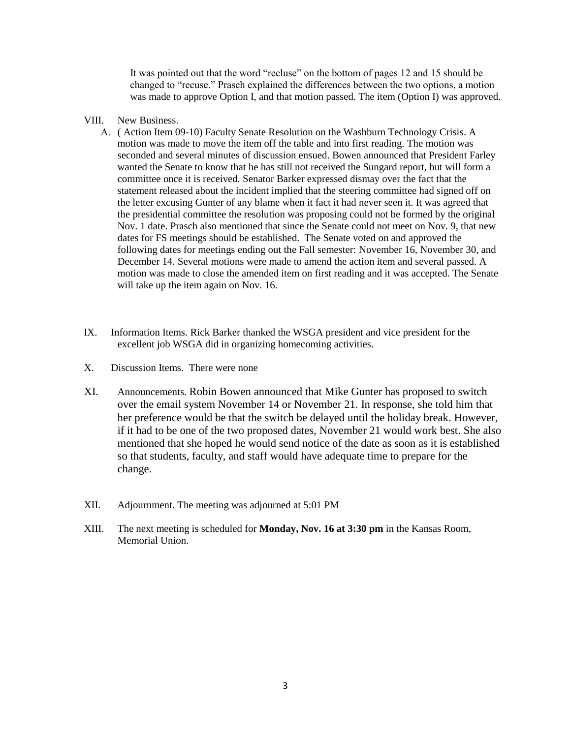It was pointed out that the word "recluse" on the bottom of pages 12 and 15 should be changed to "recuse." Prasch explained the differences between the two options, a motion was made to approve Option I, and that motion passed. The item (Option I) was approved.

- VIII. New Business.
	- A. ( Action Item 09-10) Faculty Senate Resolution on the Washburn Technology Crisis. A motion was made to move the item off the table and into first reading. The motion was seconded and several minutes of discussion ensued. Bowen announced that President Farley wanted the Senate to know that he has still not received the Sungard report, but will form a committee once it is received. Senator Barker expressed dismay over the fact that the statement released about the incident implied that the steering committee had signed off on the letter excusing Gunter of any blame when it fact it had never seen it. It was agreed that the presidential committee the resolution was proposing could not be formed by the original Nov. 1 date. Prasch also mentioned that since the Senate could not meet on Nov. 9, that new dates for FS meetings should be established. The Senate voted on and approved the following dates for meetings ending out the Fall semester: November 16, November 30, and December 14. Several motions were made to amend the action item and several passed. A motion was made to close the amended item on first reading and it was accepted. The Senate will take up the item again on Nov. 16.
- IX. Information Items. Rick Barker thanked the WSGA president and vice president for the excellent job WSGA did in organizing homecoming activities.
- X. Discussion Items. There were none
- XI. Announcements. Robin Bowen announced that Mike Gunter has proposed to switch over the email system November 14 or November 21. In response, she told him that her preference would be that the switch be delayed until the holiday break. However, if it had to be one of the two proposed dates, November 21 would work best. She also mentioned that she hoped he would send notice of the date as soon as it is established so that students, faculty, and staff would have adequate time to prepare for the change.
- XII. Adjournment. The meeting was adjourned at 5:01 PM
- XIII. The next meeting is scheduled for **Monday, Nov. 16 at 3:30 pm** in the Kansas Room, Memorial Union.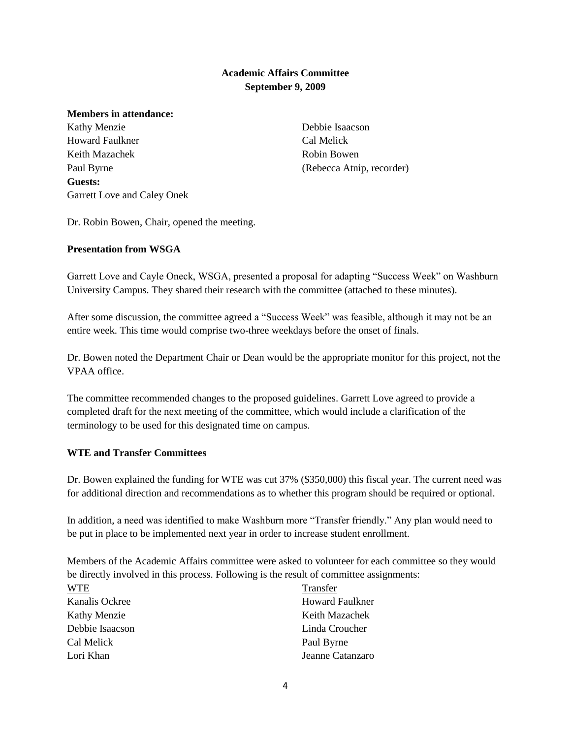#### **Academic Affairs Committee September 9, 2009**

#### **Members in attendance:**

Kathy Menzie Howard Faulkner Keith Mazachek Paul Byrne **Guests:** Garrett Love and Caley Onek

Debbie Isaacson Cal Melick Robin Bowen (Rebecca Atnip, recorder)

Dr. Robin Bowen, Chair, opened the meeting.

#### **Presentation from WSGA**

Garrett Love and Cayle Oneck, WSGA, presented a proposal for adapting "Success Week" on Washburn University Campus. They shared their research with the committee (attached to these minutes).

After some discussion, the committee agreed a "Success Week" was feasible, although it may not be an entire week. This time would comprise two-three weekdays before the onset of finals.

Dr. Bowen noted the Department Chair or Dean would be the appropriate monitor for this project, not the VPAA office.

The committee recommended changes to the proposed guidelines. Garrett Love agreed to provide a completed draft for the next meeting of the committee, which would include a clarification of the terminology to be used for this designated time on campus.

#### **WTE and Transfer Committees**

Dr. Bowen explained the funding for WTE was cut 37% (\$350,000) this fiscal year. The current need was for additional direction and recommendations as to whether this program should be required or optional.

In addition, a need was identified to make Washburn more "Transfer friendly." Any plan would need to be put in place to be implemented next year in order to increase student enrollment.

Members of the Academic Affairs committee were asked to volunteer for each committee so they would be directly involved in this process. Following is the result of committee assignments:

| <b>WTE</b>          | Transfer               |
|---------------------|------------------------|
| Kanalis Ockree      | <b>Howard Faulkner</b> |
| <b>Kathy Menzie</b> | Keith Mazachek         |
| Debbie Isaacson     | Linda Croucher         |
| Cal Melick          | Paul Byrne             |
| Lori Khan           | Jeanne Catanzaro       |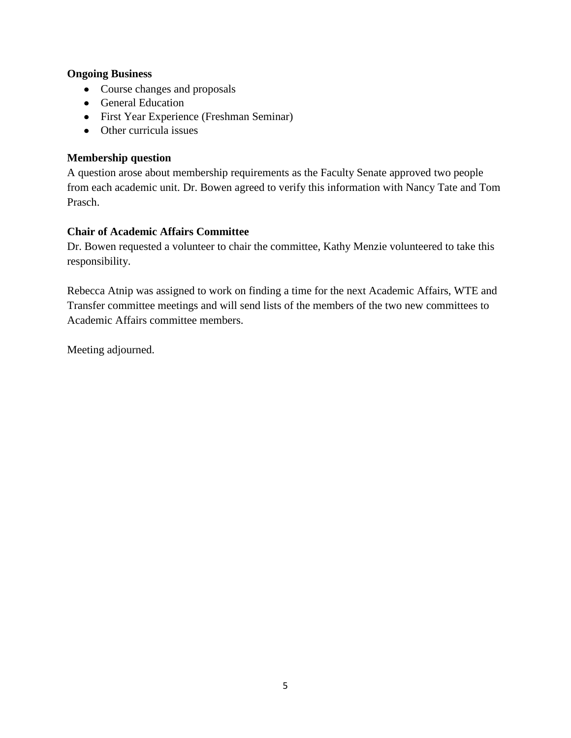## **Ongoing Business**

- Course changes and proposals
- General Education
- First Year Experience (Freshman Seminar)
- Other curricula issues

## **Membership question**

A question arose about membership requirements as the Faculty Senate approved two people from each academic unit. Dr. Bowen agreed to verify this information with Nancy Tate and Tom Prasch.

## **Chair of Academic Affairs Committee**

Dr. Bowen requested a volunteer to chair the committee, Kathy Menzie volunteered to take this responsibility.

Rebecca Atnip was assigned to work on finding a time for the next Academic Affairs, WTE and Transfer committee meetings and will send lists of the members of the two new committees to Academic Affairs committee members.

Meeting adjourned.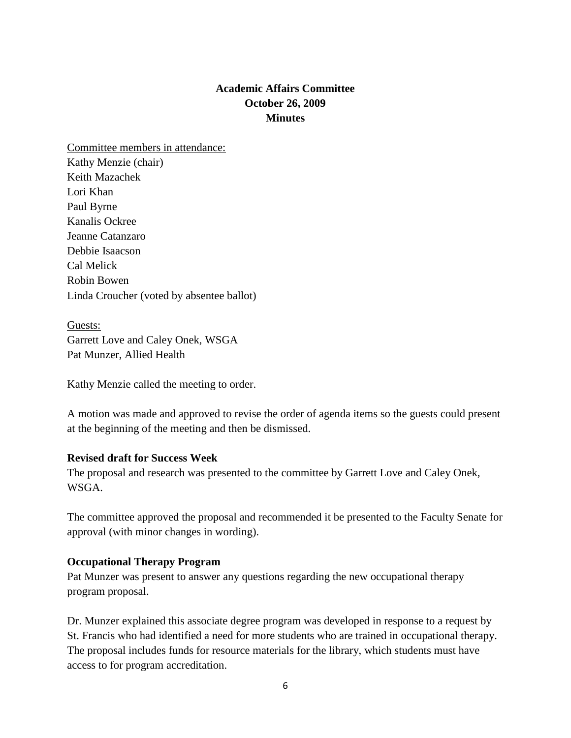# **Academic Affairs Committee October 26, 2009 Minutes**

Committee members in attendance: Kathy Menzie (chair) Keith Mazachek Lori Khan Paul Byrne Kanalis Ockree Jeanne Catanzaro Debbie Isaacson Cal Melick Robin Bowen Linda Croucher (voted by absentee ballot)

Guests: Garrett Love and Caley Onek, WSGA Pat Munzer, Allied Health

Kathy Menzie called the meeting to order.

A motion was made and approved to revise the order of agenda items so the guests could present at the beginning of the meeting and then be dismissed.

## **Revised draft for Success Week**

The proposal and research was presented to the committee by Garrett Love and Caley Onek, WSGA.

The committee approved the proposal and recommended it be presented to the Faculty Senate for approval (with minor changes in wording).

## **Occupational Therapy Program**

Pat Munzer was present to answer any questions regarding the new occupational therapy program proposal.

Dr. Munzer explained this associate degree program was developed in response to a request by St. Francis who had identified a need for more students who are trained in occupational therapy. The proposal includes funds for resource materials for the library, which students must have access to for program accreditation.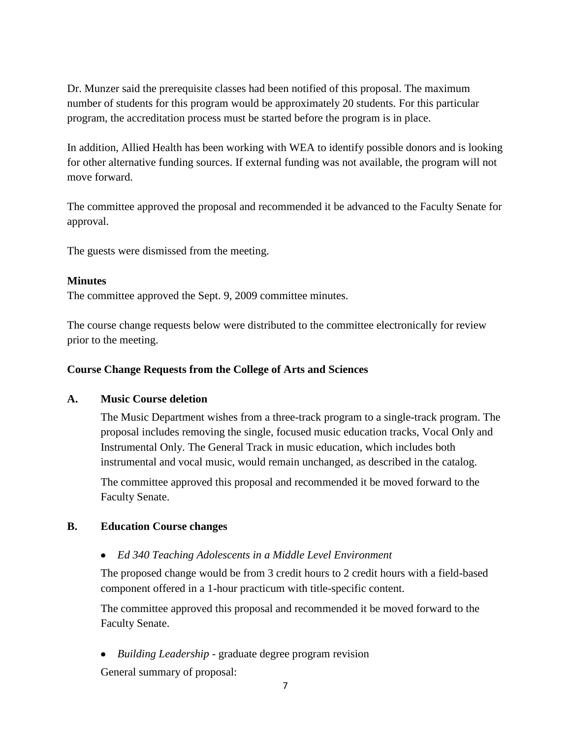Dr. Munzer said the prerequisite classes had been notified of this proposal. The maximum number of students for this program would be approximately 20 students. For this particular program, the accreditation process must be started before the program is in place.

In addition, Allied Health has been working with WEA to identify possible donors and is looking for other alternative funding sources. If external funding was not available, the program will not move forward.

The committee approved the proposal and recommended it be advanced to the Faculty Senate for approval.

The guests were dismissed from the meeting.

## **Minutes**

The committee approved the Sept. 9, 2009 committee minutes.

The course change requests below were distributed to the committee electronically for review prior to the meeting.

## **Course Change Requests from the College of Arts and Sciences**

## **A. Music Course deletion**

The Music Department wishes from a three-track program to a single-track program. The proposal includes removing the single, focused music education tracks, Vocal Only and Instrumental Only. The General Track in music education, which includes both instrumental and vocal music, would remain unchanged, as described in the catalog.

The committee approved this proposal and recommended it be moved forward to the Faculty Senate.

## **B. Education Course changes**

*Ed 340 Teaching Adolescents in a Middle Level Environment*

The proposed change would be from 3 credit hours to 2 credit hours with a field-based component offered in a 1-hour practicum with title-specific content.

The committee approved this proposal and recommended it be moved forward to the Faculty Senate.

*Building Leadership* - graduate degree program revision

General summary of proposal: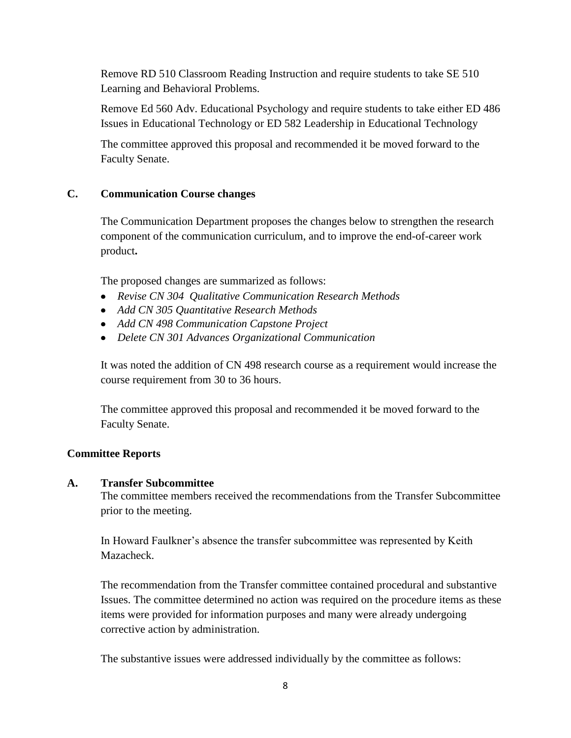Remove RD 510 Classroom Reading Instruction and require students to take SE 510 Learning and Behavioral Problems.

Remove Ed 560 Adv. Educational Psychology and require students to take either ED 486 Issues in Educational Technology or ED 582 Leadership in Educational Technology

The committee approved this proposal and recommended it be moved forward to the Faculty Senate.

## **C. Communication Course changes**

The Communication Department proposes the changes below to strengthen the research component of the communication curriculum, and to improve the end-of-career work product**.**

The proposed changes are summarized as follows:

- *Revise CN 304 Qualitative Communication Research Methods*
- *Add CN 305 Quantitative Research Methods*
- *Add CN 498 Communication Capstone Project*
- *Delete CN 301 Advances Organizational Communication*

It was noted the addition of CN 498 research course as a requirement would increase the course requirement from 30 to 36 hours.

The committee approved this proposal and recommended it be moved forward to the Faculty Senate.

## **Committee Reports**

## **A. Transfer Subcommittee**

The committee members received the recommendations from the Transfer Subcommittee prior to the meeting.

In Howard Faulkner's absence the transfer subcommittee was represented by Keith Mazacheck.

The recommendation from the Transfer committee contained procedural and substantive Issues. The committee determined no action was required on the procedure items as these items were provided for information purposes and many were already undergoing corrective action by administration.

The substantive issues were addressed individually by the committee as follows: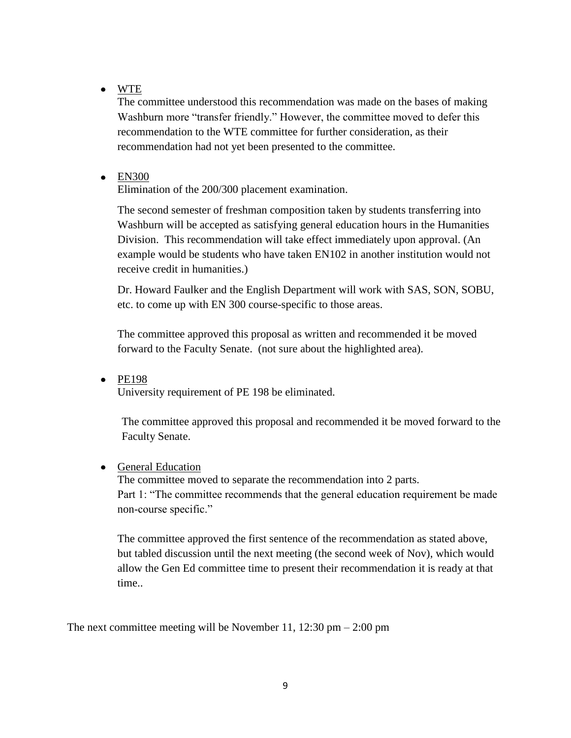WTE

The committee understood this recommendation was made on the bases of making Washburn more "transfer friendly." However, the committee moved to defer this recommendation to the WTE committee for further consideration, as their recommendation had not yet been presented to the committee.

## • EN300

Elimination of the 200/300 placement examination.

The second semester of freshman composition taken by students transferring into Washburn will be accepted as satisfying general education hours in the Humanities Division. This recommendation will take effect immediately upon approval. (An example would be students who have taken EN102 in another institution would not receive credit in humanities.)

Dr. Howard Faulker and the English Department will work with SAS, SON, SOBU, etc. to come up with EN 300 course-specific to those areas.

The committee approved this proposal as written and recommended it be moved forward to the Faculty Senate. (not sure about the highlighted area).

 $\bullet$  PE198

University requirement of PE 198 be eliminated.

The committee approved this proposal and recommended it be moved forward to the Faculty Senate.

## • General Education

The committee moved to separate the recommendation into 2 parts. Part 1: "The committee recommends that the general education requirement be made non-course specific."

The committee approved the first sentence of the recommendation as stated above, but tabled discussion until the next meeting (the second week of Nov), which would allow the Gen Ed committee time to present their recommendation it is ready at that time..

The next committee meeting will be November 11, 12:30 pm  $-$  2:00 pm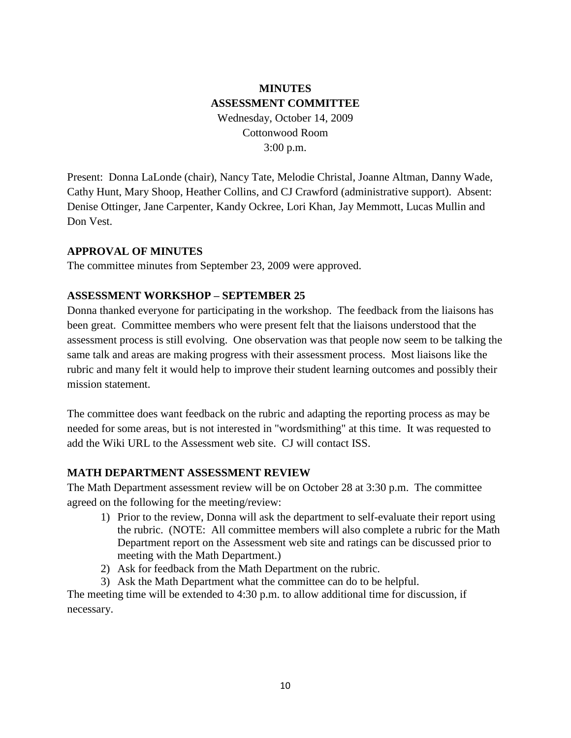# **MINUTES ASSESSMENT COMMITTEE** Wednesday, October 14, 2009 Cottonwood Room 3:00 p.m.

Present: Donna LaLonde (chair), Nancy Tate, Melodie Christal, Joanne Altman, Danny Wade, Cathy Hunt, Mary Shoop, Heather Collins, and CJ Crawford (administrative support). Absent: Denise Ottinger, Jane Carpenter, Kandy Ockree, Lori Khan, Jay Memmott, Lucas Mullin and Don Vest.

## **APPROVAL OF MINUTES**

The committee minutes from September 23, 2009 were approved.

#### **ASSESSMENT WORKSHOP – SEPTEMBER 25**

Donna thanked everyone for participating in the workshop. The feedback from the liaisons has been great. Committee members who were present felt that the liaisons understood that the assessment process is still evolving. One observation was that people now seem to be talking the same talk and areas are making progress with their assessment process. Most liaisons like the rubric and many felt it would help to improve their student learning outcomes and possibly their mission statement.

The committee does want feedback on the rubric and adapting the reporting process as may be needed for some areas, but is not interested in "wordsmithing" at this time. It was requested to add the Wiki URL to the Assessment web site. CJ will contact ISS.

#### **MATH DEPARTMENT ASSESSMENT REVIEW**

The Math Department assessment review will be on October 28 at 3:30 p.m. The committee agreed on the following for the meeting/review:

- 1) Prior to the review, Donna will ask the department to self-evaluate their report using the rubric. (NOTE: All committee members will also complete a rubric for the Math Department report on the Assessment web site and ratings can be discussed prior to meeting with the Math Department.)
- 2) Ask for feedback from the Math Department on the rubric.
- 3) Ask the Math Department what the committee can do to be helpful.

The meeting time will be extended to 4:30 p.m. to allow additional time for discussion, if necessary.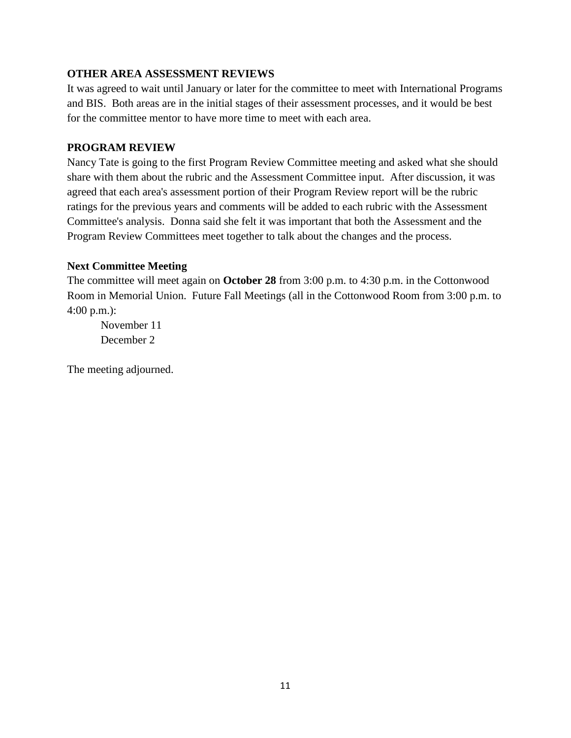## **OTHER AREA ASSESSMENT REVIEWS**

It was agreed to wait until January or later for the committee to meet with International Programs and BIS. Both areas are in the initial stages of their assessment processes, and it would be best for the committee mentor to have more time to meet with each area.

## **PROGRAM REVIEW**

Nancy Tate is going to the first Program Review Committee meeting and asked what she should share with them about the rubric and the Assessment Committee input. After discussion, it was agreed that each area's assessment portion of their Program Review report will be the rubric ratings for the previous years and comments will be added to each rubric with the Assessment Committee's analysis. Donna said she felt it was important that both the Assessment and the Program Review Committees meet together to talk about the changes and the process.

## **Next Committee Meeting**

The committee will meet again on **October 28** from 3:00 p.m. to 4:30 p.m. in the Cottonwood Room in Memorial Union. Future Fall Meetings (all in the Cottonwood Room from 3:00 p.m. to 4:00 p.m.):

November 11 December 2

The meeting adjourned.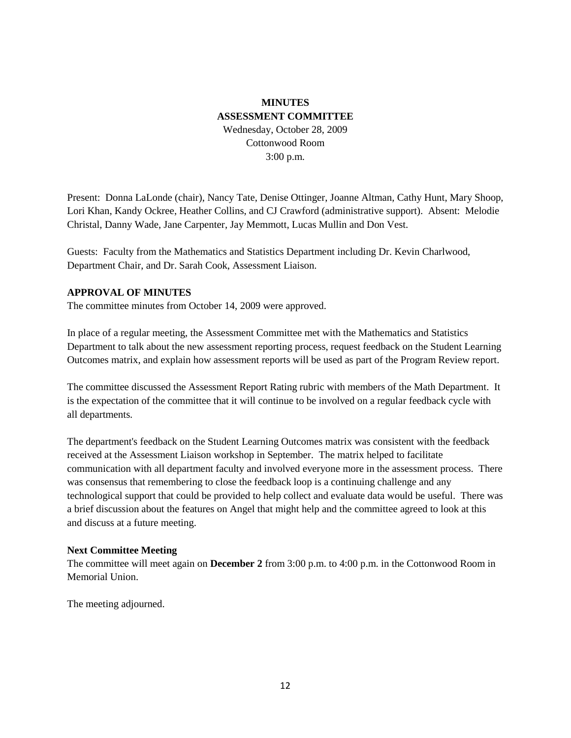## **MINUTES ASSESSMENT COMMITTEE** Wednesday, October 28, 2009 Cottonwood Room 3:00 p.m.

Present: Donna LaLonde (chair), Nancy Tate, Denise Ottinger, Joanne Altman, Cathy Hunt, Mary Shoop, Lori Khan, Kandy Ockree, Heather Collins, and CJ Crawford (administrative support). Absent: Melodie Christal, Danny Wade, Jane Carpenter, Jay Memmott, Lucas Mullin and Don Vest.

Guests: Faculty from the Mathematics and Statistics Department including Dr. Kevin Charlwood, Department Chair, and Dr. Sarah Cook, Assessment Liaison.

#### **APPROVAL OF MINUTES**

The committee minutes from October 14, 2009 were approved.

In place of a regular meeting, the Assessment Committee met with the Mathematics and Statistics Department to talk about the new assessment reporting process, request feedback on the Student Learning Outcomes matrix, and explain how assessment reports will be used as part of the Program Review report.

The committee discussed the Assessment Report Rating rubric with members of the Math Department. It is the expectation of the committee that it will continue to be involved on a regular feedback cycle with all departments.

The department's feedback on the Student Learning Outcomes matrix was consistent with the feedback received at the Assessment Liaison workshop in September. The matrix helped to facilitate communication with all department faculty and involved everyone more in the assessment process. There was consensus that remembering to close the feedback loop is a continuing challenge and any technological support that could be provided to help collect and evaluate data would be useful. There was a brief discussion about the features on Angel that might help and the committee agreed to look at this and discuss at a future meeting.

#### **Next Committee Meeting**

The committee will meet again on **December 2** from 3:00 p.m. to 4:00 p.m. in the Cottonwood Room in Memorial Union.

The meeting adjourned.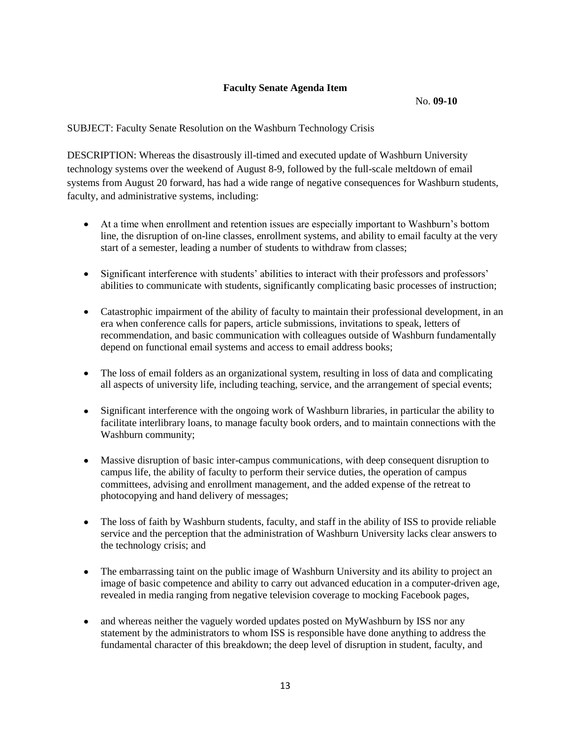#### **Faculty Senate Agenda Item**

No. **09-10**

SUBJECT: Faculty Senate Resolution on the Washburn Technology Crisis

DESCRIPTION: Whereas the disastrously ill-timed and executed update of Washburn University technology systems over the weekend of August 8-9, followed by the full-scale meltdown of email systems from August 20 forward, has had a wide range of negative consequences for Washburn students, faculty, and administrative systems, including:

- At a time when enrollment and retention issues are especially important to Washburn's bottom line, the disruption of on-line classes, enrollment systems, and ability to email faculty at the very start of a semester, leading a number of students to withdraw from classes;
- Significant interference with students' abilities to interact with their professors and professors'  $\bullet$ abilities to communicate with students, significantly complicating basic processes of instruction;
- Catastrophic impairment of the ability of faculty to maintain their professional development, in an era when conference calls for papers, article submissions, invitations to speak, letters of recommendation, and basic communication with colleagues outside of Washburn fundamentally depend on functional email systems and access to email address books;
- $\bullet$ The loss of email folders as an organizational system, resulting in loss of data and complicating all aspects of university life, including teaching, service, and the arrangement of special events;
- Significant interference with the ongoing work of Washburn libraries, in particular the ability to  $\bullet$ facilitate interlibrary loans, to manage faculty book orders, and to maintain connections with the Washburn community;
- Massive disruption of basic inter-campus communications, with deep consequent disruption to  $\bullet$ campus life, the ability of faculty to perform their service duties, the operation of campus committees, advising and enrollment management, and the added expense of the retreat to photocopying and hand delivery of messages;
- The loss of faith by Washburn students, faculty, and staff in the ability of ISS to provide reliable  $\bullet$ service and the perception that the administration of Washburn University lacks clear answers to the technology crisis; and
- $\bullet$ The embarrassing taint on the public image of Washburn University and its ability to project an image of basic competence and ability to carry out advanced education in a computer-driven age, revealed in media ranging from negative television coverage to mocking Facebook pages,
- and whereas neither the vaguely worded updates posted on MyWashburn by ISS nor any statement by the administrators to whom ISS is responsible have done anything to address the fundamental character of this breakdown; the deep level of disruption in student, faculty, and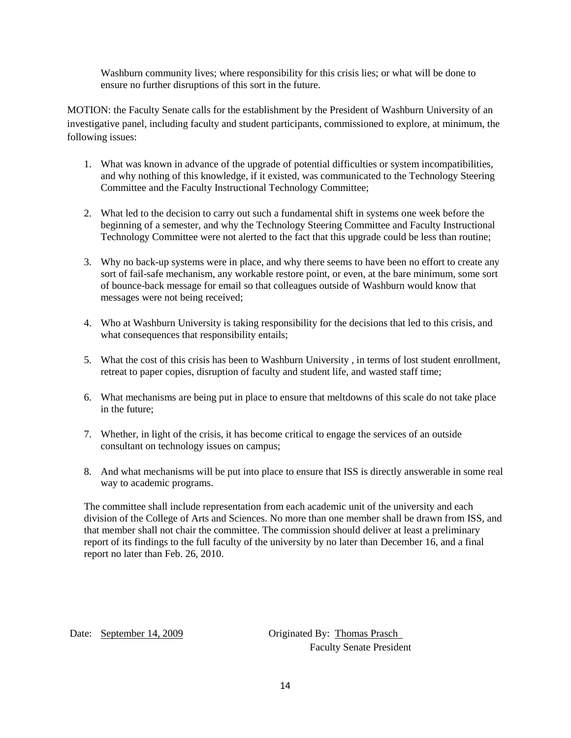Washburn community lives; where responsibility for this crisis lies; or what will be done to ensure no further disruptions of this sort in the future.

MOTION: the Faculty Senate calls for the establishment by the President of Washburn University of an investigative panel, including faculty and student participants, commissioned to explore, at minimum, the following issues:

- 1. What was known in advance of the upgrade of potential difficulties or system incompatibilities, and why nothing of this knowledge, if it existed, was communicated to the Technology Steering Committee and the Faculty Instructional Technology Committee;
- 2. What led to the decision to carry out such a fundamental shift in systems one week before the beginning of a semester, and why the Technology Steering Committee and Faculty Instructional Technology Committee were not alerted to the fact that this upgrade could be less than routine;
- 3. Why no back-up systems were in place, and why there seems to have been no effort to create any sort of fail-safe mechanism, any workable restore point, or even, at the bare minimum, some sort of bounce-back message for email so that colleagues outside of Washburn would know that messages were not being received;
- 4. Who at Washburn University is taking responsibility for the decisions that led to this crisis, and what consequences that responsibility entails;
- 5. What the cost of this crisis has been to Washburn University , in terms of lost student enrollment, retreat to paper copies, disruption of faculty and student life, and wasted staff time;
- 6. What mechanisms are being put in place to ensure that meltdowns of this scale do not take place in the future;
- 7. Whether, in light of the crisis, it has become critical to engage the services of an outside consultant on technology issues on campus;
- 8. And what mechanisms will be put into place to ensure that ISS is directly answerable in some real way to academic programs.

The committee shall include representation from each academic unit of the university and each division of the College of Arts and Sciences. No more than one member shall be drawn from ISS, and that member shall not chair the committee. The commission should deliver at least a preliminary report of its findings to the full faculty of the university by no later than December 16, and a final report no later than Feb. 26, 2010.

Date: September 14, 2009 Originated By: Thomas Prasch Faculty Senate President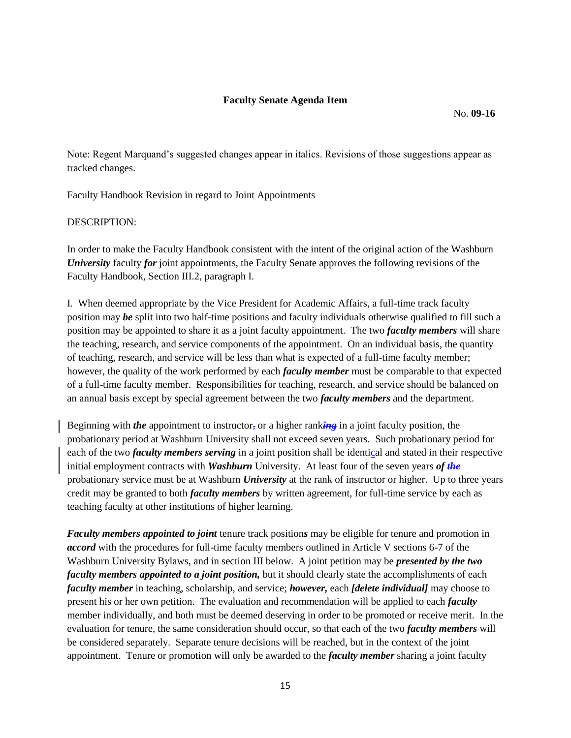Note: Regent Marquand's suggested changes appear in italics. Revisions of those suggestions appear as tracked changes.

Faculty Handbook Revision in regard to Joint Appointments

#### DESCRIPTION:

In order to make the Faculty Handbook consistent with the intent of the original action of the Washburn *University* faculty *for* joint appointments, the Faculty Senate approves the following revisions of the Faculty Handbook, Section III.2, paragraph I.

I. When deemed appropriate by the Vice President for Academic Affairs, a full-time track faculty position may *be* split into two half-time positions and faculty individuals otherwise qualified to fill such a position may be appointed to share it as a joint faculty appointment. The two *faculty members* will share the teaching, research, and service components of the appointment. On an individual basis, the quantity of teaching, research, and service will be less than what is expected of a full-time faculty member; however, the quality of the work performed by each *faculty member* must be comparable to that expected of a full-time faculty member. Responsibilities for teaching, research, and service should be balanced on an annual basis except by special agreement between the two *faculty members* and the department.

Beginning with *the* appointment to instructor, or a higher rank*ing* in a joint faculty position, the probationary period at Washburn University shall not exceed seven years. Such probationary period for each of the two *faculty members serving* in a joint position shall be identical and stated in their respective initial employment contracts with *Washburn* University. At least four of the seven years *of the*  probationary service must be at Washburn *University* at the rank of instructor or higher. Up to three years credit may be granted to both *faculty members* by written agreement, for full-time service by each as teaching faculty at other institutions of higher learning.

*Faculty members appointed to joint* tenure track position*s* may be eligible for tenure and promotion in *accord* with the procedures for full-time faculty members outlined in Article V sections 6-7 of the Washburn University Bylaws, and in section III below. A joint petition may be *presented by the two faculty members appointed to a joint position*, but it should clearly state the accomplishments of each *faculty member* in teaching, scholarship, and service; *however,* each *[delete individual]* may choose to present his or her own petition. The evaluation and recommendation will be applied to each *faculty* member individually, and both must be deemed deserving in order to be promoted or receive merit. In the evaluation for tenure, the same consideration should occur, so that each of the two *faculty members* will be considered separately. Separate tenure decisions will be reached, but in the context of the joint appointment. Tenure or promotion will only be awarded to the *faculty member* sharing a joint faculty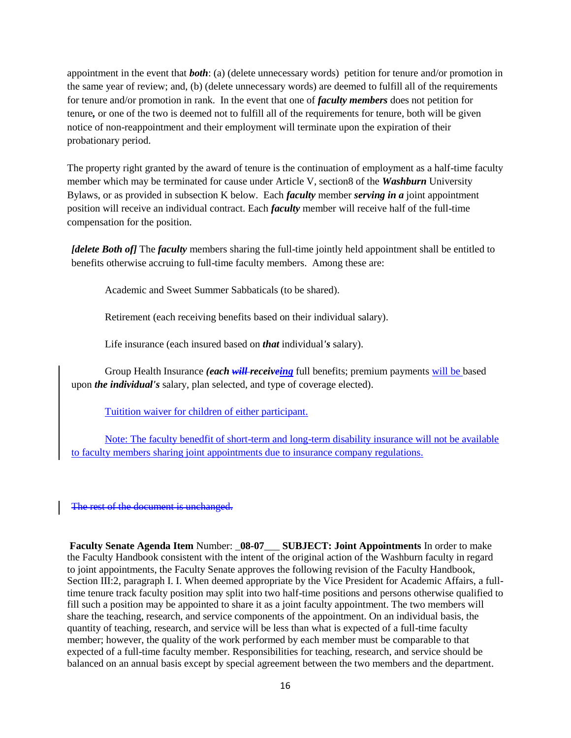appointment in the event that *both*: (a) (delete unnecessary words) petition for tenure and/or promotion in the same year of review; and, (b) (delete unnecessary words) are deemed to fulfill all of the requirements for tenure and/or promotion in rank. In the event that one of *faculty members* does not petition for tenure*,* or one of the two is deemed not to fulfill all of the requirements for tenure, both will be given notice of non-reappointment and their employment will terminate upon the expiration of their probationary period.

The property right granted by the award of tenure is the continuation of employment as a half-time faculty member which may be terminated for cause under Article V, section8 of the *Washburn* University Bylaws, or as provided in subsection K below. Each *faculty* member *serving in a* joint appointment position will receive an individual contract. Each *faculty* member will receive half of the full-time compensation for the position.

*[delete Both of]* The *faculty* members sharing the full-time jointly held appointment shall be entitled to benefits otherwise accruing to full-time faculty members. Among these are:

Academic and Sweet Summer Sabbaticals (to be shared).

Retirement (each receiving benefits based on their individual salary).

Life insurance (each insured based on *that* individual*'s* salary).

Group Health Insurance *(each will receiveing* full benefits; premium payments will be based upon *the individual's* salary, plan selected, and type of coverage elected).

Tuitition waiver for children of either participant.

Note: The faculty benedfit of short-term and long-term disability insurance will not be available to faculty members sharing joint appointments due to insurance company regulations.

The rest of the document is unchanged.

**Faculty Senate Agenda Item** Number: \_**08-07**\_\_\_ **SUBJECT: Joint Appointments** In order to make the Faculty Handbook consistent with the intent of the original action of the Washburn faculty in regard to joint appointments, the Faculty Senate approves the following revision of the Faculty Handbook, Section III:2, paragraph I. I. When deemed appropriate by the Vice President for Academic Affairs, a fulltime tenure track faculty position may split into two half-time positions and persons otherwise qualified to fill such a position may be appointed to share it as a joint faculty appointment. The two members will share the teaching, research, and service components of the appointment. On an individual basis, the quantity of teaching, research, and service will be less than what is expected of a full-time faculty member; however, the quality of the work performed by each member must be comparable to that expected of a full-time faculty member. Responsibilities for teaching, research, and service should be balanced on an annual basis except by special agreement between the two members and the department.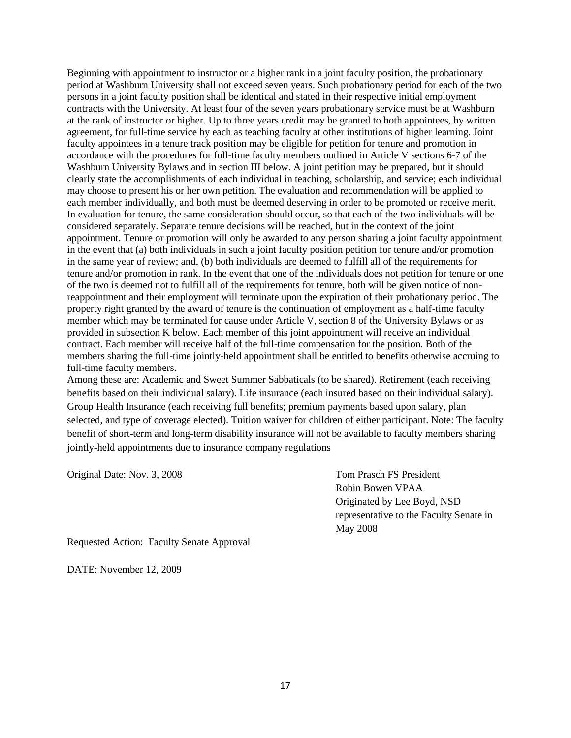Beginning with appointment to instructor or a higher rank in a joint faculty position, the probationary period at Washburn University shall not exceed seven years. Such probationary period for each of the two persons in a joint faculty position shall be identical and stated in their respective initial employment contracts with the University. At least four of the seven years probationary service must be at Washburn at the rank of instructor or higher. Up to three years credit may be granted to both appointees, by written agreement, for full-time service by each as teaching faculty at other institutions of higher learning. Joint faculty appointees in a tenure track position may be eligible for petition for tenure and promotion in accordance with the procedures for full-time faculty members outlined in Article V sections 6-7 of the Washburn University Bylaws and in section III below. A joint petition may be prepared, but it should clearly state the accomplishments of each individual in teaching, scholarship, and service; each individual may choose to present his or her own petition. The evaluation and recommendation will be applied to each member individually, and both must be deemed deserving in order to be promoted or receive merit. In evaluation for tenure, the same consideration should occur, so that each of the two individuals will be considered separately. Separate tenure decisions will be reached, but in the context of the joint appointment. Tenure or promotion will only be awarded to any person sharing a joint faculty appointment in the event that (a) both individuals in such a joint faculty position petition for tenure and/or promotion in the same year of review; and, (b) both individuals are deemed to fulfill all of the requirements for tenure and/or promotion in rank. In the event that one of the individuals does not petition for tenure or one of the two is deemed not to fulfill all of the requirements for tenure, both will be given notice of nonreappointment and their employment will terminate upon the expiration of their probationary period. The property right granted by the award of tenure is the continuation of employment as a half-time faculty member which may be terminated for cause under Article V, section 8 of the University Bylaws or as provided in subsection K below. Each member of this joint appointment will receive an individual contract. Each member will receive half of the full-time compensation for the position. Both of the members sharing the full-time jointly-held appointment shall be entitled to benefits otherwise accruing to full-time faculty members.

Among these are: Academic and Sweet Summer Sabbaticals (to be shared). Retirement (each receiving benefits based on their individual salary). Life insurance (each insured based on their individual salary). Group Health Insurance (each receiving full benefits; premium payments based upon salary, plan selected, and type of coverage elected). Tuition waiver for children of either participant. Note: The faculty benefit of short-term and long-term disability insurance will not be available to faculty members sharing jointly-held appointments due to insurance company regulations

Original Date: Nov. 3, 2008 Tom Prasch FS President

Robin Bowen VPAA Originated by Lee Boyd, NSD representative to the Faculty Senate in May 2008

Requested Action: Faculty Senate Approval

DATE: November 12, 2009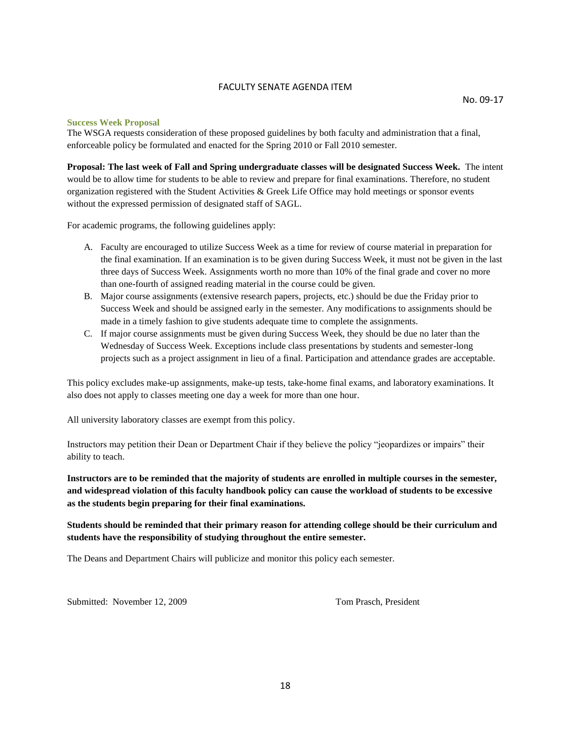#### FACULTY SENATE AGENDA ITEM

#### **Success Week Proposal**

The WSGA requests consideration of these proposed guidelines by both faculty and administration that a final, enforceable policy be formulated and enacted for the Spring 2010 or Fall 2010 semester.

**Proposal: The last week of Fall and Spring undergraduate classes will be designated Success Week.** The intent would be to allow time for students to be able to review and prepare for final examinations. Therefore, no student organization registered with the Student Activities & Greek Life Office may hold meetings or sponsor events without the expressed permission of designated staff of SAGL.

For academic programs, the following guidelines apply:

- A. Faculty are encouraged to utilize Success Week as a time for review of course material in preparation for the final examination. If an examination is to be given during Success Week, it must not be given in the last three days of Success Week. Assignments worth no more than 10% of the final grade and cover no more than one-fourth of assigned reading material in the course could be given.
- B. Major course assignments (extensive research papers, projects, etc.) should be due the Friday prior to Success Week and should be assigned early in the semester. Any modifications to assignments should be made in a timely fashion to give students adequate time to complete the assignments.
- C. If major course assignments must be given during Success Week, they should be due no later than the Wednesday of Success Week. Exceptions include class presentations by students and semester-long projects such as a project assignment in lieu of a final. Participation and attendance grades are acceptable.

This policy excludes make-up assignments, make-up tests, take-home final exams, and laboratory examinations. It also does not apply to classes meeting one day a week for more than one hour.

All university laboratory classes are exempt from this policy.

Instructors may petition their Dean or Department Chair if they believe the policy "jeopardizes or impairs" their ability to teach.

**Instructors are to be reminded that the majority of students are enrolled in multiple courses in the semester, and widespread violation of this faculty handbook policy can cause the workload of students to be excessive as the students begin preparing for their final examinations.**

#### **Students should be reminded that their primary reason for attending college should be their curriculum and students have the responsibility of studying throughout the entire semester.**

The Deans and Department Chairs will publicize and monitor this policy each semester.

Submitted: November 12, 2009 Tom Prasch, President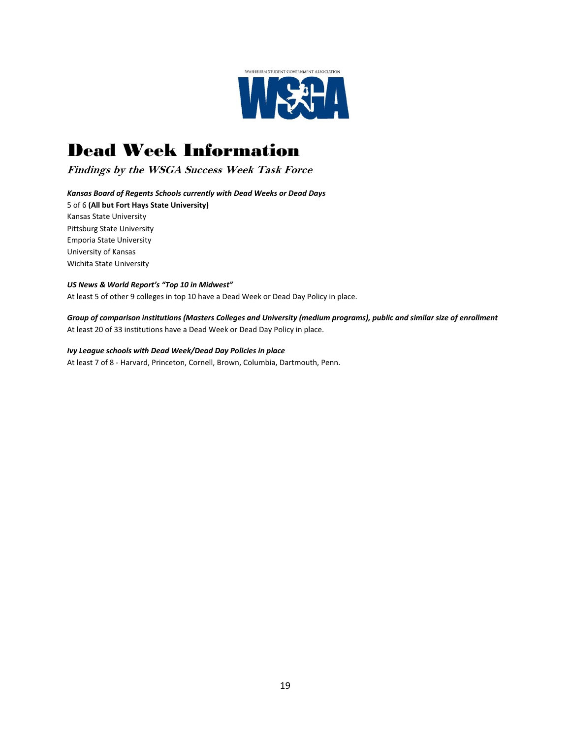

# Dead Week Information

**Findings by the WSGA Success Week Task Force**

*Kansas Board of Regents Schools currently with Dead Weeks or Dead Days*

5 of 6 **(All but Fort Hays State University)** Kansas State University Pittsburg State University Emporia State University University of Kansas Wichita State University

#### *US News & World Report's "Top 10 in Midwest"*

At least 5 of other 9 colleges in top 10 have a Dead Week or Dead Day Policy in place.

*Group of comparison institutions (Masters Colleges and University (medium programs), public and similar size of enrollment* At least 20 of 33 institutions have a Dead Week or Dead Day Policy in place.

#### *Ivy League schools with Dead Week/Dead Day Policies in place*

At least 7 of 8 - Harvard, Princeton, Cornell, Brown, Columbia, Dartmouth, Penn.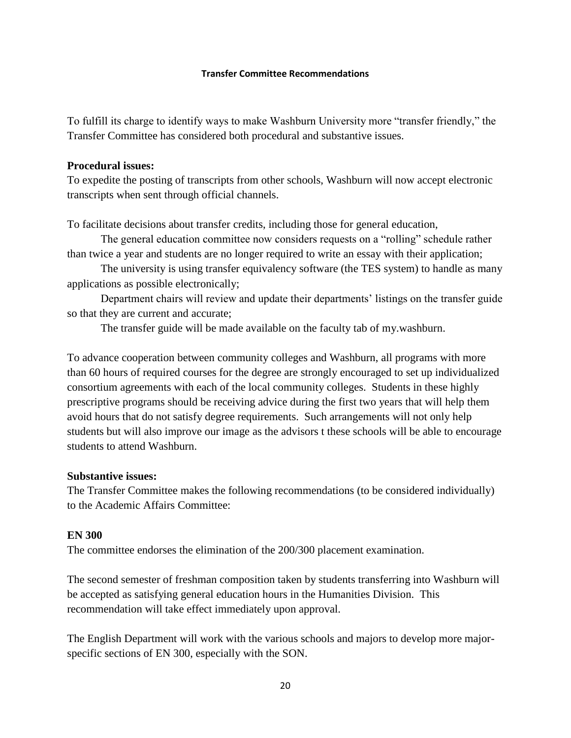#### **Transfer Committee Recommendations**

To fulfill its charge to identify ways to make Washburn University more "transfer friendly," the Transfer Committee has considered both procedural and substantive issues.

#### **Procedural issues:**

To expedite the posting of transcripts from other schools, Washburn will now accept electronic transcripts when sent through official channels.

To facilitate decisions about transfer credits, including those for general education,

The general education committee now considers requests on a "rolling" schedule rather than twice a year and students are no longer required to write an essay with their application;

The university is using transfer equivalency software (the TES system) to handle as many applications as possible electronically;

Department chairs will review and update their departments' listings on the transfer guide so that they are current and accurate;

The transfer guide will be made available on the faculty tab of my.washburn.

To advance cooperation between community colleges and Washburn, all programs with more than 60 hours of required courses for the degree are strongly encouraged to set up individualized consortium agreements with each of the local community colleges. Students in these highly prescriptive programs should be receiving advice during the first two years that will help them avoid hours that do not satisfy degree requirements. Such arrangements will not only help students but will also improve our image as the advisors t these schools will be able to encourage students to attend Washburn.

#### **Substantive issues:**

The Transfer Committee makes the following recommendations (to be considered individually) to the Academic Affairs Committee:

#### **EN 300**

The committee endorses the elimination of the 200/300 placement examination.

The second semester of freshman composition taken by students transferring into Washburn will be accepted as satisfying general education hours in the Humanities Division. This recommendation will take effect immediately upon approval.

The English Department will work with the various schools and majors to develop more majorspecific sections of EN 300, especially with the SON.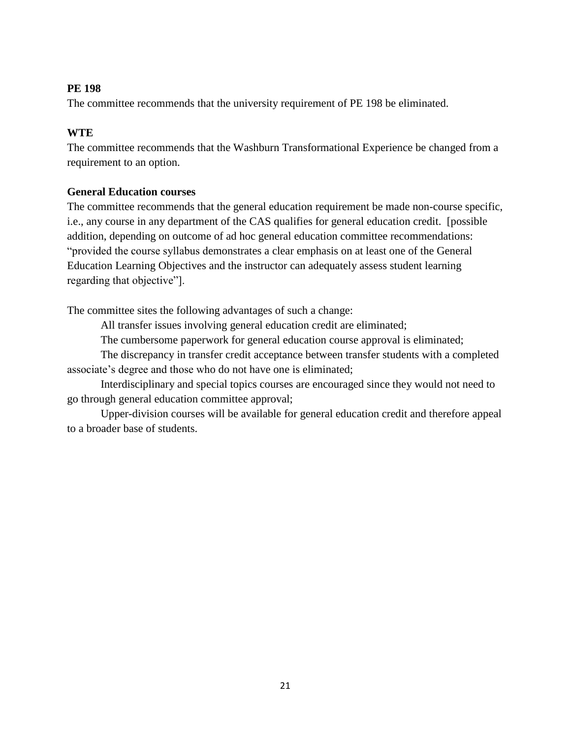## **PE 198**

The committee recommends that the university requirement of PE 198 be eliminated.

## **WTE**

The committee recommends that the Washburn Transformational Experience be changed from a requirement to an option.

## **General Education courses**

The committee recommends that the general education requirement be made non-course specific, i.e., any course in any department of the CAS qualifies for general education credit. [possible addition, depending on outcome of ad hoc general education committee recommendations: "provided the course syllabus demonstrates a clear emphasis on at least one of the General Education Learning Objectives and the instructor can adequately assess student learning regarding that objective"].

The committee sites the following advantages of such a change:

All transfer issues involving general education credit are eliminated;

The cumbersome paperwork for general education course approval is eliminated;

The discrepancy in transfer credit acceptance between transfer students with a completed associate's degree and those who do not have one is eliminated;

Interdisciplinary and special topics courses are encouraged since they would not need to go through general education committee approval;

Upper-division courses will be available for general education credit and therefore appeal to a broader base of students.